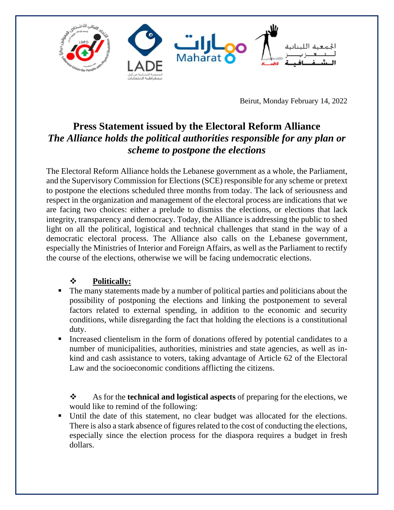

Beirut, Monday February 14, 2022

## **Press Statement issued by the Electoral Reform Alliance** *The Alliance holds the political authorities responsible for any plan or scheme to postpone the elections*

The Electoral Reform Alliance holds the Lebanese government as a whole, the Parliament, and the Supervisory Commission for Elections (SCE) responsible for any scheme or pretext to postpone the elections scheduled three months from today. The lack of seriousness and respect in the organization and management of the electoral process are indications that we are facing two choices: either a prelude to dismiss the elections, or elections that lack integrity, transparency and democracy. Today, the Alliance is addressing the public to shed light on all the political, logistical and technical challenges that stand in the way of a democratic electoral process. The Alliance also calls on the Lebanese government, especially the Ministries of Interior and Foreign Affairs, as well as the Parliament to rectify the course of the elections, otherwise we will be facing undemocratic elections.

## ❖ **Politically:**

- The many statements made by a number of political parties and politicians about the possibility of postponing the elections and linking the postponement to several factors related to external spending, in addition to the economic and security conditions, while disregarding the fact that holding the elections is a constitutional duty.
- Increased clientelism in the form of donations offered by potential candidates to a number of municipalities, authorities, ministries and state agencies, as well as inkind and cash assistance to voters, taking advantage of Article 62 of the Electoral Law and the socioeconomic conditions afflicting the citizens.

❖ As for the **technical and logistical aspects** of preparing for the elections, we would like to remind of the following:

▪ Until the date of this statement, no clear budget was allocated for the elections. There is also a stark absence of figures related to the cost of conducting the elections, especially since the election process for the diaspora requires a budget in fresh dollars.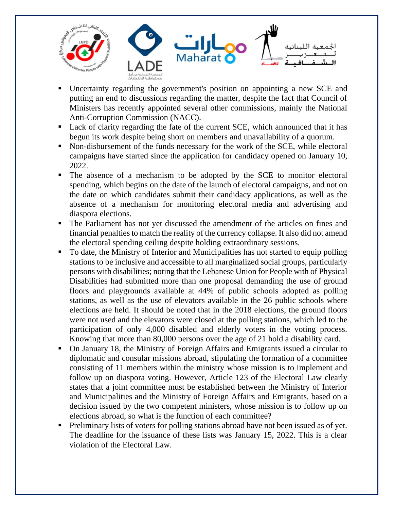

- Uncertainty regarding the government's position on appointing a new SCE and putting an end to discussions regarding the matter, despite the fact that Council of Ministers has recently appointed several other commissions, mainly the National Anti-Corruption Commission (NACC).
- Lack of clarity regarding the fate of the current SCE, which announced that it has begun its work despite being short on members and unavailability of a quorum.
- Non-disbursement of the funds necessary for the work of the SCE, while electoral campaigns have started since the application for candidacy opened on January 10, 2022.
- The absence of a mechanism to be adopted by the SCE to monitor electoral spending, which begins on the date of the launch of electoral campaigns, and not on the date on which candidates submit their candidacy applications, as well as the absence of a mechanism for monitoring electoral media and advertising and diaspora elections.
- The Parliament has not yet discussed the amendment of the articles on fines and financial penaltiesto match the reality of the currency collapse. It also did not amend the electoral spending ceiling despite holding extraordinary sessions.
- To date, the Ministry of Interior and Municipalities has not started to equip polling stations to be inclusive and accessible to all marginalized social groups, particularly persons with disabilities; noting that the Lebanese Union for People with of Physical Disabilities had submitted more than one proposal demanding the use of ground floors and playgrounds available at 44% of public schools adopted as polling stations, as well as the use of elevators available in the 26 public schools where elections are held. It should be noted that in the 2018 elections, the ground floors were not used and the elevators were closed at the polling stations, which led to the participation of only 4,000 disabled and elderly voters in the voting process. Knowing that more than 80,000 persons over the age of 21 hold a disability card.
- On January 18, the Ministry of Foreign Affairs and Emigrants issued a circular to diplomatic and consular missions abroad, stipulating the formation of a committee consisting of 11 members within the ministry whose mission is to implement and follow up on diaspora voting. However, Article 123 of the Electoral Law clearly states that a joint committee must be established between the Ministry of Interior and Municipalities and the Ministry of Foreign Affairs and Emigrants, based on a decision issued by the two competent ministers, whose mission is to follow up on elections abroad, so what is the function of each committee?
- Preliminary lists of voters for polling stations abroad have not been issued as of yet. The deadline for the issuance of these lists was January 15, 2022. This is a clear violation of the Electoral Law.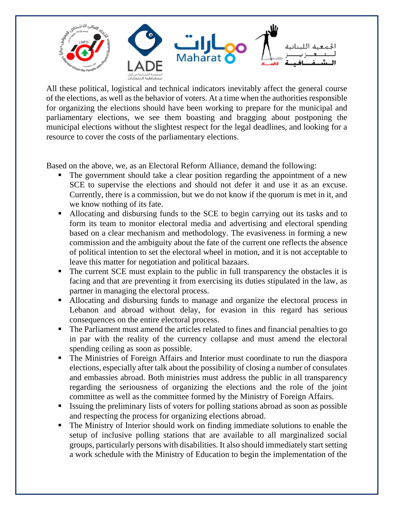

All these political, logistical and technical indicators inevitably affect the general course of the elections, as well as the behavior of voters. At a time when the authorities responsible for organizing the elections should have been working to prepare for the municipal and parliamentary elections, we see them boasting and bragging about postponing the municipal elections without the slightest respect for the legal deadlines, and looking for a resource to cover the costs of the parliamentary elections.

Based on the above, we, as an Electoral Reform Alliance, demand the following:

- The government should take a clear position regarding the appointment of a new SCE to supervise the elections and should not defer it and use it as an excuse. Currently, there is a commission, but we do not know if the quorum is met in it, and we know nothing of its fate.
- Allocating and disbursing funds to the SCE to begin carrying out its tasks and to form its team to monitor electoral media and advertising and electoral spending based on a clear mechanism and methodology. The evasiveness in forming a new commission and the ambiguity about the fate of the current one reflects the absence of political intention to set the electoral wheel in motion, and it is not acceptable to leave this matter for negotiation and political bazaars.
- The current SCE must explain to the public in full transparency the obstacles it is facing and that are preventing it from exercising its duties stipulated in the law, as partner in managing the electoral process.
- Allocating and disbursing funds to manage and organize the electoral process in Lebanon and abroad without delay, for evasion in this regard has serious consequences on the entire electoral process.
- The Parliament must amend the articles related to fines and financial penalties to go in par with the reality of the currency collapse and must amend the electoral spending ceiling as soon as possible.
- The Ministries of Foreign Affairs and Interior must coordinate to run the diaspora elections, especially after talk about the possibility of closing a number of consulates and embassies abroad. Both ministries must address the public in all transparency regarding the seriousness of organizing the elections and the role of the joint committee as well as the committee formed by the Ministry of Foreign Affairs.
- Issuing the preliminary lists of voters for polling stations abroad as soon as possible and respecting the process for organizing elections abroad.
- The Ministry of Interior should work on finding immediate solutions to enable the setup of inclusive polling stations that are available to all marginalized social groups, particularly persons with disabilities. It also should immediately start setting a work schedule with the Ministry of Education to begin the implementation of the